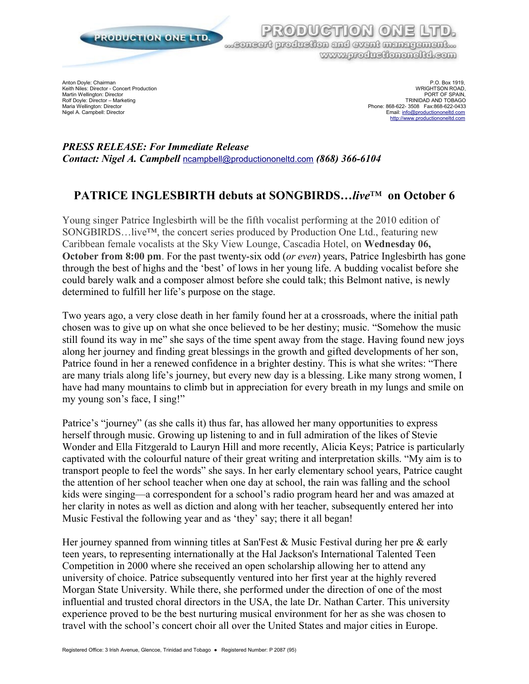

...concert production and event management... www.produetiononeltd.com

 $C<sub>1</sub>$  $C<sub>2</sub>$ 

Rolf Doyle: Director – Marketing<br>Maria Wellington: Director

Anton Doyle: Chairman P.O. Box 1919, P.O. Box 1919, P.O. Box 1919, P.O. Box 1919, P.O. Box 1919, P.O. Box 1919, Keith Niles: Director - Concert Production<br>Martin Wellington: Director Concert Production Concert Production Concert Concert Concert Production Concert<br>PORT OF SPAIN, Martin Wellington: Director PORT OF SPAIN, North Wellington: Director PORT OF SPAIN, PORT OF SPAIN, PORT OF SPAIN, Maria Wellington: Director – waterwater of the control of the control of the control of the control of the control of the control of the control of the control of the control of the control of the control of the control of Email: [info@productiononeltd.com](mailto:info@productiononeltd.com) [http://www.productiononeltd.com](http://www.productiononeltd.com/)

*PRESS RELEASE: For Immediate Release Contact: Nigel A. Campbell* [ncampbell@productiononeltd.com](mailto:ncampbell@productiononeltd.com?subject=Press%20release%20SONGBIRDS...live) *(868) 366-6104*

## **PATRICE INGLESBIRTH debuts at SONGBIRDS…***live*™ **on October 6**

Young singer Patrice Inglesbirth will be the fifth vocalist performing at the 2010 edition of SONGBIRDS…live™, the concert series produced by Production One Ltd., featuring new Caribbean female vocalists at the Sky View Lounge, Cascadia Hotel, on **Wednesday 06, October from 8:00 pm**. For the past twenty-six odd (*or even*) years, Patrice Inglesbirth has gone through the best of highs and the 'best' of lows in her young life. A budding vocalist before she could barely walk and a composer almost before she could talk; this Belmont native, is newly determined to fulfill her life's purpose on the stage.

Two years ago, a very close death in her family found her at a crossroads, where the initial path chosen was to give up on what she once believed to be her destiny; music. "Somehow the music still found its way in me" she says of the time spent away from the stage. Having found new joys along her journey and finding great blessings in the growth and gifted developments of her son, Patrice found in her a renewed confidence in a brighter destiny. This is what she writes: "There are many trials along life's journey, but every new day is a blessing. Like many strong women, I have had many mountains to climb but in appreciation for every breath in my lungs and smile on my young son's face, I sing!"

Patrice's "journey" (as she calls it) thus far, has allowed her many opportunities to express herself through music. Growing up listening to and in full admiration of the likes of Stevie Wonder and Ella Fitzgerald to Lauryn Hill and more recently, Alicia Keys; Patrice is particularly captivated with the colourful nature of their great writing and interpretation skills. "My aim is to transport people to feel the words" she says. In her early elementary school years, Patrice caught the attention of her school teacher when one day at school, the rain was falling and the school kids were singing—a correspondent for a school's radio program heard her and was amazed at her clarity in notes as well as diction and along with her teacher, subsequently entered her into Music Festival the following year and as 'they' say; there it all began!

Her journey spanned from winning titles at San'Fest & Music Festival during her pre & early teen years, to representing internationally at the Hal Jackson's International Talented Teen Competition in 2000 where she received an open scholarship allowing her to attend any university of choice. Patrice subsequently ventured into her first year at the highly revered Morgan State University. While there, she performed under the direction of one of the most influential and trusted choral directors in the USA, the late Dr. Nathan Carter. This university experience proved to be the best nurturing musical environment for her as she was chosen to travel with the school's concert choir all over the United States and major cities in Europe.